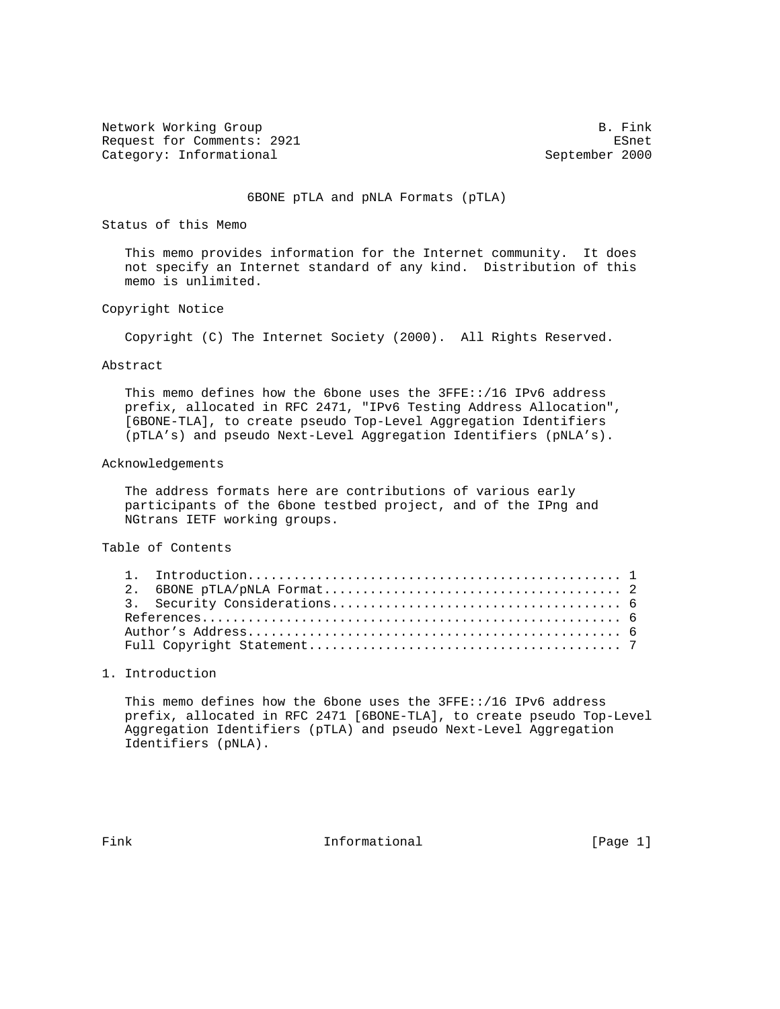Network Working Group B. Fink Request for Comments: 2921 ESnet Category: Informational September 2000

### 6BONE pTLA and pNLA Formats (pTLA)

Status of this Memo

 This memo provides information for the Internet community. It does not specify an Internet standard of any kind. Distribution of this memo is unlimited.

# Copyright Notice

Copyright (C) The Internet Society (2000). All Rights Reserved.

#### Abstract

This memo defines how the 6bone uses the  $3FFE:'/16$  IPv6 address prefix, allocated in RFC 2471, "IPv6 Testing Address Allocation", [6BONE-TLA], to create pseudo Top-Level Aggregation Identifiers (pTLA's) and pseudo Next-Level Aggregation Identifiers (pNLA's).

#### Acknowledgements

 The address formats here are contributions of various early participants of the 6bone testbed project, and of the IPng and NGtrans IETF working groups.

Table of Contents

# 1. Introduction

 This memo defines how the 6bone uses the 3FFE::/16 IPv6 address prefix, allocated in RFC 2471 [6BONE-TLA], to create pseudo Top-Level Aggregation Identifiers (pTLA) and pseudo Next-Level Aggregation Identifiers (pNLA).

Fink **Informational** Informational [Page 1]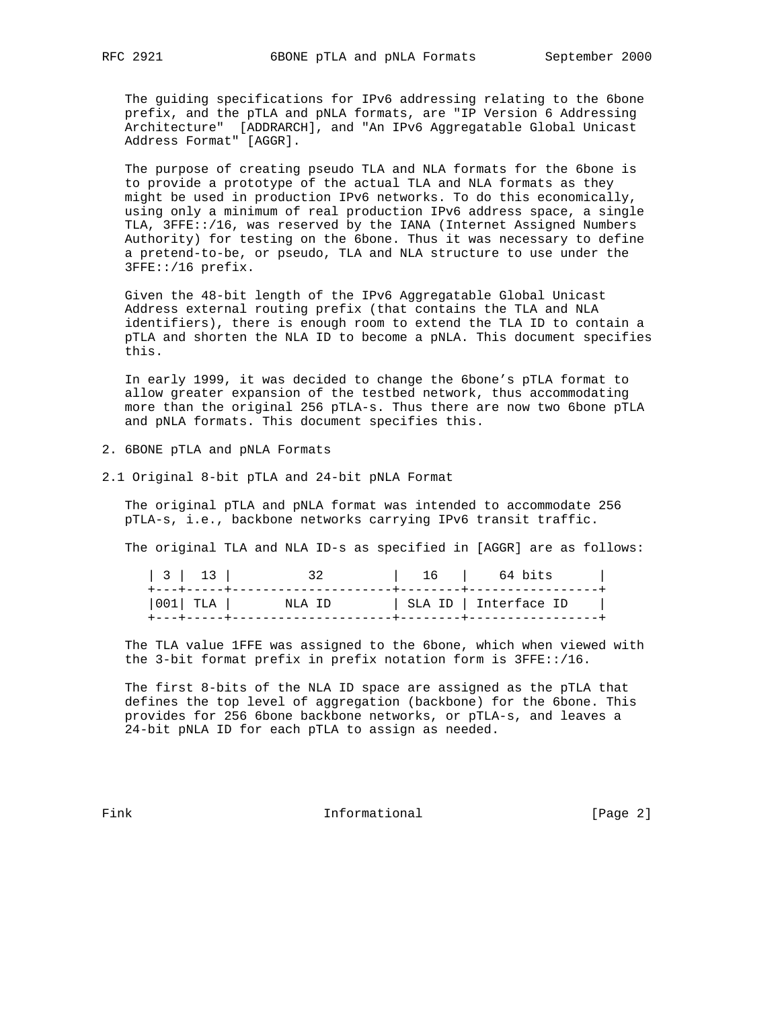The guiding specifications for IPv6 addressing relating to the 6bone prefix, and the pTLA and pNLA formats, are "IP Version 6 Addressing Architecture" [ADDRARCH], and "An IPv6 Aggregatable Global Unicast Address Format" [AGGR].

 The purpose of creating pseudo TLA and NLA formats for the 6bone is to provide a prototype of the actual TLA and NLA formats as they might be used in production IPv6 networks. To do this economically, using only a minimum of real production IPv6 address space, a single TLA, 3FFE::/16, was reserved by the IANA (Internet Assigned Numbers Authority) for testing on the 6bone. Thus it was necessary to define a pretend-to-be, or pseudo, TLA and NLA structure to use under the 3FFE::/16 prefix.

 Given the 48-bit length of the IPv6 Aggregatable Global Unicast Address external routing prefix (that contains the TLA and NLA identifiers), there is enough room to extend the TLA ID to contain a pTLA and shorten the NLA ID to become a pNLA. This document specifies this.

 In early 1999, it was decided to change the 6bone's pTLA format to allow greater expansion of the testbed network, thus accommodating more than the original 256 pTLA-s. Thus there are now two 6bone pTLA and pNLA formats. This document specifies this.

- 2. 6BONE pTLA and pNLA Formats
- 2.1 Original 8-bit pTLA and 24-bit pNLA Format

 The original pTLA and pNLA format was intended to accommodate 256 pTLA-s, i.e., backbone networks carrying IPv6 transit traffic.

The original TLA and NLA ID-s as specified in [AGGR] are as follows:

| 3   13 |          | 32      | 16   64 bits          |  |
|--------|----------|---------|-----------------------|--|
|        | 001  TLA | NT.A TD | SLA ID   Interface ID |  |

 The TLA value 1FFE was assigned to the 6bone, which when viewed with the 3-bit format prefix in prefix notation form is 3FFE::/16.

 The first 8-bits of the NLA ID space are assigned as the pTLA that defines the top level of aggregation (backbone) for the 6bone. This provides for 256 6bone backbone networks, or pTLA-s, and leaves a 24-bit pNLA ID for each pTLA to assign as needed.

Fink **Informational Informational** [Page 2]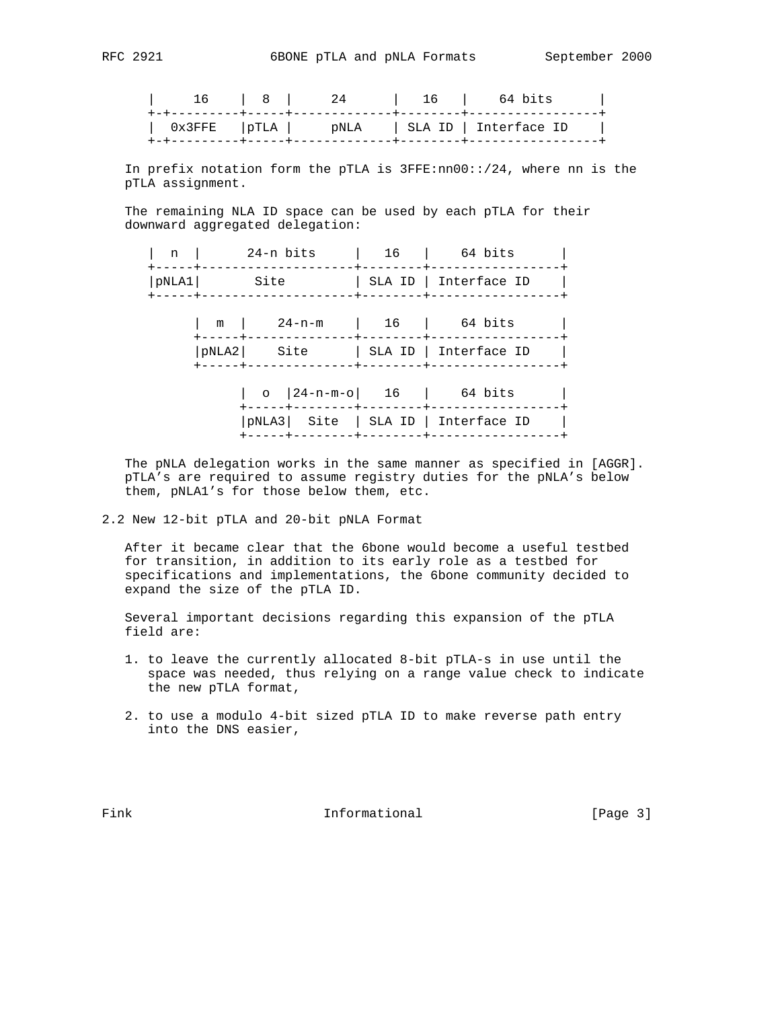| 16 | $\begin{array}{ccc} & & 8 & \\ & & \end{array}$ |  | 16   64 bits |
|----|-------------------------------------------------|--|--------------|
|    |                                                 |  |              |
|    |                                                 |  |              |

 In prefix notation form the pTLA is 3FFE:nn00::/24, where nn is the pTLA assignment.

 The remaining NLA ID space can be used by each pTLA for their downward aggregated delegation:

| n              | 24-n bits                                             |                                                                       | 16       | 64 bits               |
|----------------|-------------------------------------------------------|-----------------------------------------------------------------------|----------|-----------------------|
| pNLA1<br>----+ | ----+------<br>Site                                   |                                                                       |          | SLA ID   Interface ID |
|                | m                                                     | 24-n-m                                                                | 16       | 64 bits               |
|                | ----+--------------+-------+--------<br>pNLA2<br>Site |                                                                       | -------- | SLA ID   Interface ID |
|                |                                                       | $\circ$   24-n-m-o  16                                                |          | 64 bits               |
|                |                                                       | -----+--------+---------+------<br>pNLA3 Site   SLA ID   Interface ID |          |                       |

 The pNLA delegation works in the same manner as specified in [AGGR]. pTLA's are required to assume registry duties for the pNLA's below them, pNLA1's for those below them, etc.

2.2 New 12-bit pTLA and 20-bit pNLA Format

 After it became clear that the 6bone would become a useful testbed for transition, in addition to its early role as a testbed for specifications and implementations, the 6bone community decided to expand the size of the pTLA ID.

 Several important decisions regarding this expansion of the pTLA field are:

- 1. to leave the currently allocated 8-bit pTLA-s in use until the space was needed, thus relying on a range value check to indicate the new pTLA format,
- 2. to use a modulo 4-bit sized pTLA ID to make reverse path entry into the DNS easier,

Fink **Informational Informational** [Page 3]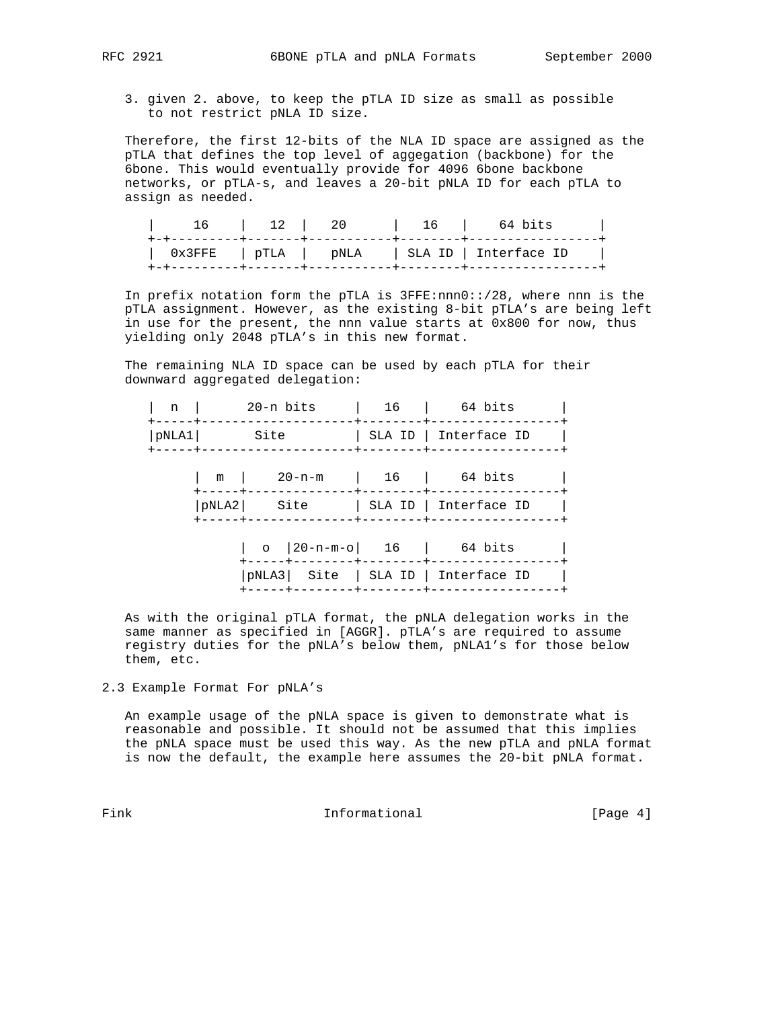- - 3. given 2. above, to keep the pTLA ID size as small as possible to not restrict pNLA ID size.

 Therefore, the first 12-bits of the NLA ID space are assigned as the pTLA that defines the top level of aggegation (backbone) for the 6bone. This would eventually provide for 4096 6bone backbone networks, or pTLA-s, and leaves a 20-bit pNLA ID for each pTLA to assign as needed.

| 16   12   20 |  | 16   64 bits                                   |  |
|--------------|--|------------------------------------------------|--|
|              |  | $0x3$ FFE   pTLA   pNLA   SLAID   Interface ID |  |

 In prefix notation form the pTLA is 3FFE:nnn0::/28, where nnn is the pTLA assignment. However, as the existing 8-bit pTLA's are being left in use for the present, the nnn value starts at 0x800 for now, thus yielding only 2048 pTLA's in this new format.

The remaining NLA ID space can be used by each pTLA for their downward aggregated delegation:

| n                       | 20-n bits |                                     | 16                                  | 64 bits               |
|-------------------------|-----------|-------------------------------------|-------------------------------------|-----------------------|
| pNLA1 <br>$- - - - + -$ |           | Site                                |                                     | SLA ID   Interface ID |
|                         | m         | $20 - n - m$                        | $\begin{array}{ccc} \end{array}$ 16 | 64 bits               |
|                         | pNLA2     | Site                                |                                     | SLA ID   Interface ID |
|                         |           | o $ 20-n-m-0 $ 16                   |                                     | 64 bits               |
|                         |           | pNLA3  Site   SLA ID   Interface ID |                                     |                       |

 As with the original pTLA format, the pNLA delegation works in the same manner as specified in [AGGR]. pTLA's are required to assume registry duties for the pNLA's below them, pNLA1's for those below them, etc.

2.3 Example Format For pNLA's

 An example usage of the pNLA space is given to demonstrate what is reasonable and possible. It should not be assumed that this implies the pNLA space must be used this way. As the new pTLA and pNLA format is now the default, the example here assumes the 20-bit pNLA format.

Fink **Informational Informational** [Page 4]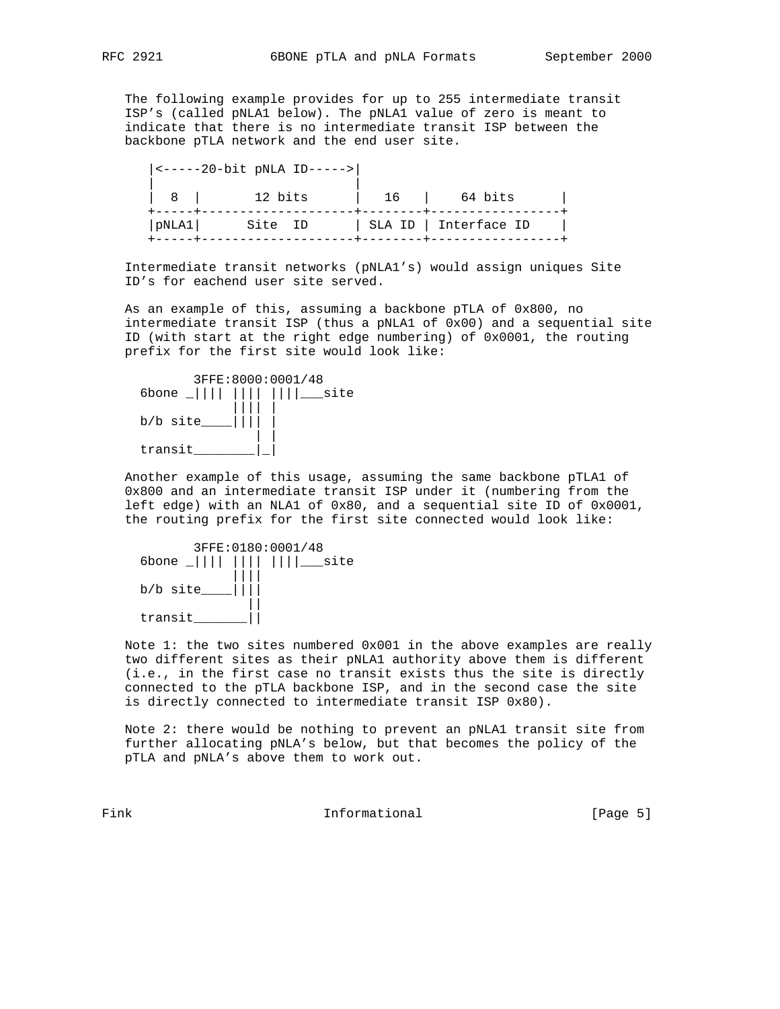The following example provides for up to 255 intermediate transit ISP's (called pNLA1 below). The pNLA1 value of zero is meant to indicate that there is no intermediate transit ISP between the backbone pTLA network and the end user site.

|                | $ $ <-----20-bit pNLA ID-----> |    |                       |  |
|----------------|--------------------------------|----|-----------------------|--|
| 8 <sup>1</sup> | 12 bits                        | 16 | 64 bits               |  |
| pNLA1          | Site ID                        |    | SLA ID   Interface ID |  |

 Intermediate transit networks (pNLA1's) would assign uniques Site ID's for eachend user site served.

 As an example of this, assuming a backbone pTLA of 0x800, no intermediate transit ISP (thus a pNLA1 of 0x00) and a sequential site ID (with start at the right edge numbering) of 0x0001, the routing prefix for the first site would look like:



 Another example of this usage, assuming the same backbone pTLA1 of 0x800 and an intermediate transit ISP under it (numbering from the left edge) with an NLA1 of 0x80, and a sequential site ID of 0x0001, the routing prefix for the first site connected would look like:

|          | 3FFE: 0180:0001/48            |
|----------|-------------------------------|
|          | 6bone _               ___site |
| b/b site |                               |
| transit  |                               |

 Note 1: the two sites numbered 0x001 in the above examples are really two different sites as their pNLA1 authority above them is different (i.e., in the first case no transit exists thus the site is directly connected to the pTLA backbone ISP, and in the second case the site is directly connected to intermediate transit ISP 0x80).

 Note 2: there would be nothing to prevent an pNLA1 transit site from further allocating pNLA's below, but that becomes the policy of the pTLA and pNLA's above them to work out.

Fink **Informational** Informational [Page 5]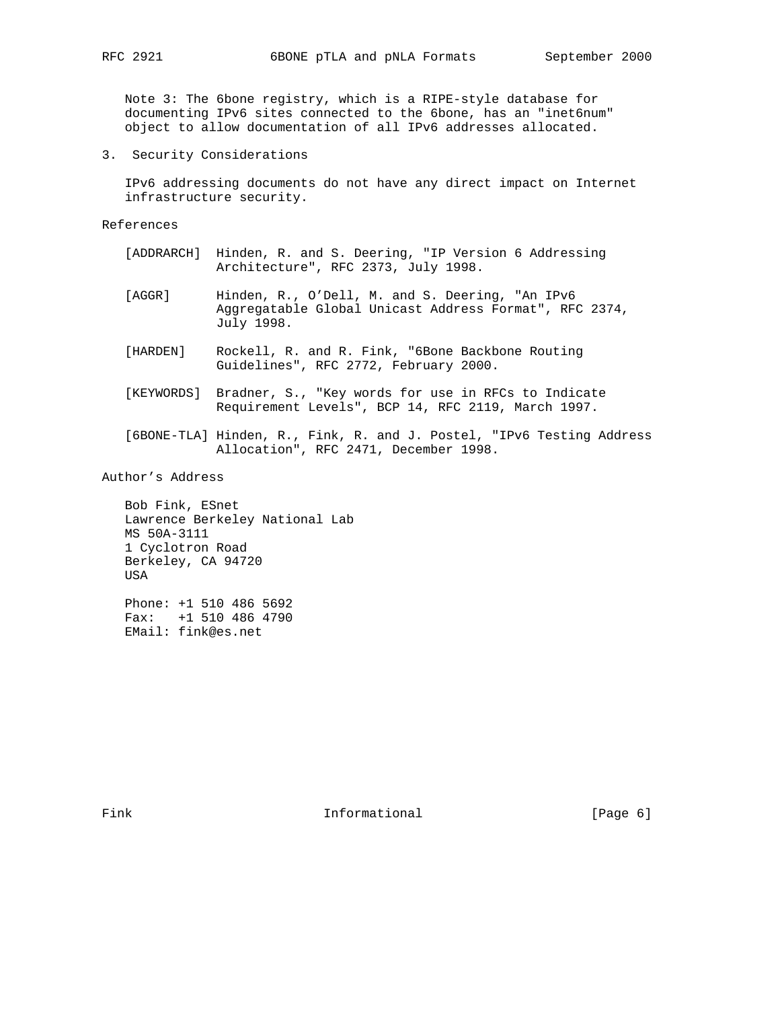Note 3: The 6bone registry, which is a RIPE-style database for documenting IPv6 sites connected to the 6bone, has an "inet6num" object to allow documentation of all IPv6 addresses allocated.

3. Security Considerations

 IPv6 addressing documents do not have any direct impact on Internet infrastructure security.

References

- [ADDRARCH] Hinden, R. and S. Deering, "IP Version 6 Addressing Architecture", RFC 2373, July 1998.
- [AGGR] Hinden, R., O'Dell, M. and S. Deering, "An IPv6 Aggregatable Global Unicast Address Format", RFC 2374, July 1998.
- [HARDEN] Rockell, R. and R. Fink, "6Bone Backbone Routing Guidelines", RFC 2772, February 2000.
- [KEYWORDS] Bradner, S., "Key words for use in RFCs to Indicate Requirement Levels", BCP 14, RFC 2119, March 1997.
- [6BONE-TLA] Hinden, R., Fink, R. and J. Postel, "IPv6 Testing Address Allocation", RFC 2471, December 1998.

Author's Address

 Bob Fink, ESnet Lawrence Berkeley National Lab MS 50A-3111 1 Cyclotron Road Berkeley, CA 94720 USA Phone: +1 510 486 5692

 Fax: +1 510 486 4790 EMail: fink@es.net

Fink **Informational Informational** [Page 6]